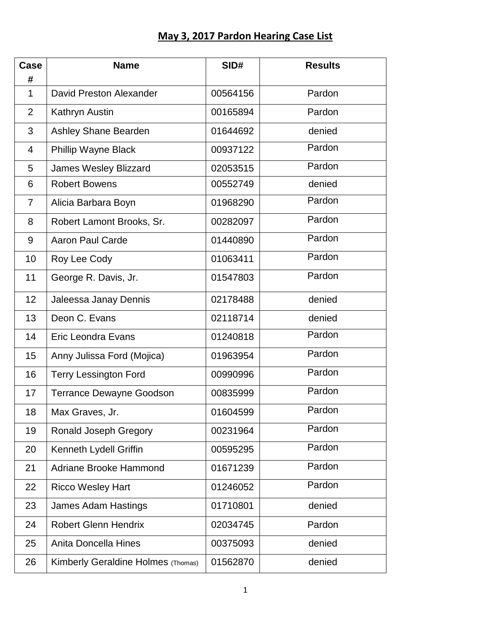## **May 3, 2017 Pardon Hearing Case List**

| Case<br>#      | <b>Name</b>                        | SID#     | <b>Results</b> |
|----------------|------------------------------------|----------|----------------|
| $\mathbf{1}$   | <b>David Preston Alexander</b>     | 00564156 | Pardon         |
| $\overline{2}$ | Kathryn Austin                     | 00165894 | Pardon         |
| 3              | Ashley Shane Bearden               | 01644692 | denied         |
| 4              | Phillip Wayne Black                | 00937122 | Pardon         |
| 5              | <b>James Wesley Blizzard</b>       | 02053515 | Pardon         |
| 6              | <b>Robert Bowens</b>               | 00552749 | denied         |
| 7              | Alicia Barbara Boyn                | 01968290 | Pardon         |
| 8              | Robert Lamont Brooks, Sr.          | 00282097 | Pardon         |
| 9              | <b>Aaron Paul Carde</b>            | 01440890 | Pardon         |
| 10             | Roy Lee Cody                       | 01063411 | Pardon         |
| 11             | George R. Davis, Jr.               | 01547803 | Pardon         |
| 12             | Jaleessa Janay Dennis              | 02178488 | denied         |
| 13             | Deon C. Evans                      | 02118714 | denied         |
| 14             | <b>Eric Leondra Evans</b>          | 01240818 | Pardon         |
| 15             | Anny Julissa Ford (Mojica)         | 01963954 | Pardon         |
| 16             | <b>Terry Lessington Ford</b>       | 00990996 | Pardon         |
| 17             | Terrance Dewayne Goodson           | 00835999 | Pardon         |
| 18             | Max Graves, Jr.                    | 01604599 | Pardon         |
| 19             | Ronald Joseph Gregory              | 00231964 | Pardon         |
| 20             | Kenneth Lydell Griffin             | 00595295 | Pardon         |
| 21             | Adriane Brooke Hammond             | 01671239 | Pardon         |
| 22             | <b>Ricco Wesley Hart</b>           | 01246052 | Pardon         |
| 23             | <b>James Adam Hastings</b>         | 01710801 | denied         |
| 24             | <b>Robert Glenn Hendrix</b>        | 02034745 | Pardon         |
| 25             | Anita Doncella Hines               | 00375093 | denied         |
| 26             | Kimberly Geraldine Holmes (Thomas) | 01562870 | denied         |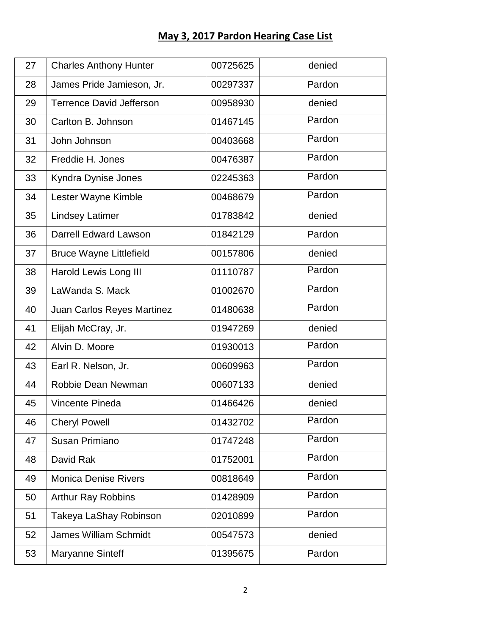## **May 3, 2017 Pardon Hearing Case List**

| 27 | <b>Charles Anthony Hunter</b>   | 00725625 | denied |
|----|---------------------------------|----------|--------|
| 28 | James Pride Jamieson, Jr.       | 00297337 | Pardon |
| 29 | <b>Terrence David Jefferson</b> | 00958930 | denied |
| 30 | Carlton B. Johnson              | 01467145 | Pardon |
| 31 | John Johnson                    | 00403668 | Pardon |
| 32 | Freddie H. Jones                | 00476387 | Pardon |
| 33 | Kyndra Dynise Jones             | 02245363 | Pardon |
| 34 | Lester Wayne Kimble             | 00468679 | Pardon |
| 35 | <b>Lindsey Latimer</b>          | 01783842 | denied |
| 36 | <b>Darrell Edward Lawson</b>    | 01842129 | Pardon |
| 37 | <b>Bruce Wayne Littlefield</b>  | 00157806 | denied |
| 38 | Harold Lewis Long III           | 01110787 | Pardon |
| 39 | LaWanda S. Mack                 | 01002670 | Pardon |
| 40 | Juan Carlos Reyes Martinez      | 01480638 | Pardon |
| 41 | Elijah McCray, Jr.              | 01947269 | denied |
| 42 | Alvin D. Moore                  | 01930013 | Pardon |
| 43 | Earl R. Nelson, Jr.             | 00609963 | Pardon |
| 44 | Robbie Dean Newman              | 00607133 | denied |
| 45 | Vincente Pineda                 | 01466426 | denied |
| 46 | <b>Cheryl Powell</b>            | 01432702 | Pardon |
| 47 | Susan Primiano                  | 01747248 | Pardon |
| 48 | David Rak                       | 01752001 | Pardon |
| 49 | <b>Monica Denise Rivers</b>     | 00818649 | Pardon |
| 50 | <b>Arthur Ray Robbins</b>       | 01428909 | Pardon |
| 51 | Takeya LaShay Robinson          | 02010899 | Pardon |
| 52 | <b>James William Schmidt</b>    | 00547573 | denied |
| 53 | <b>Maryanne Sinteff</b>         | 01395675 | Pardon |